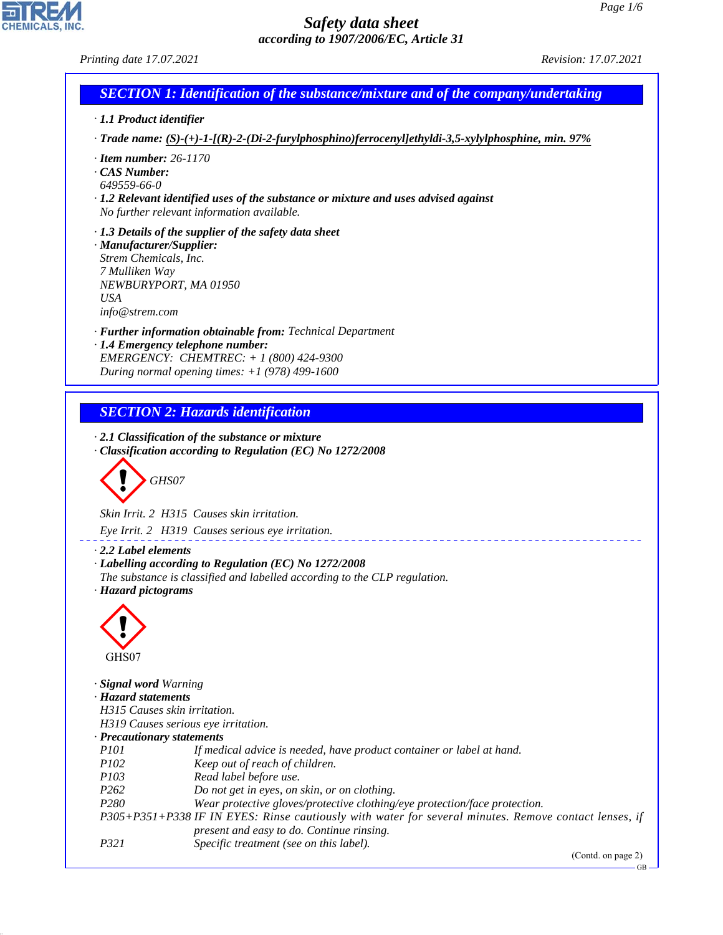٦

# *Safety data sheet according to 1907/2006/EC, Article 31*

*Printing date 17.07.2021 Revision: 17.07.2021*

CHEMICALS, INC.

44.1.1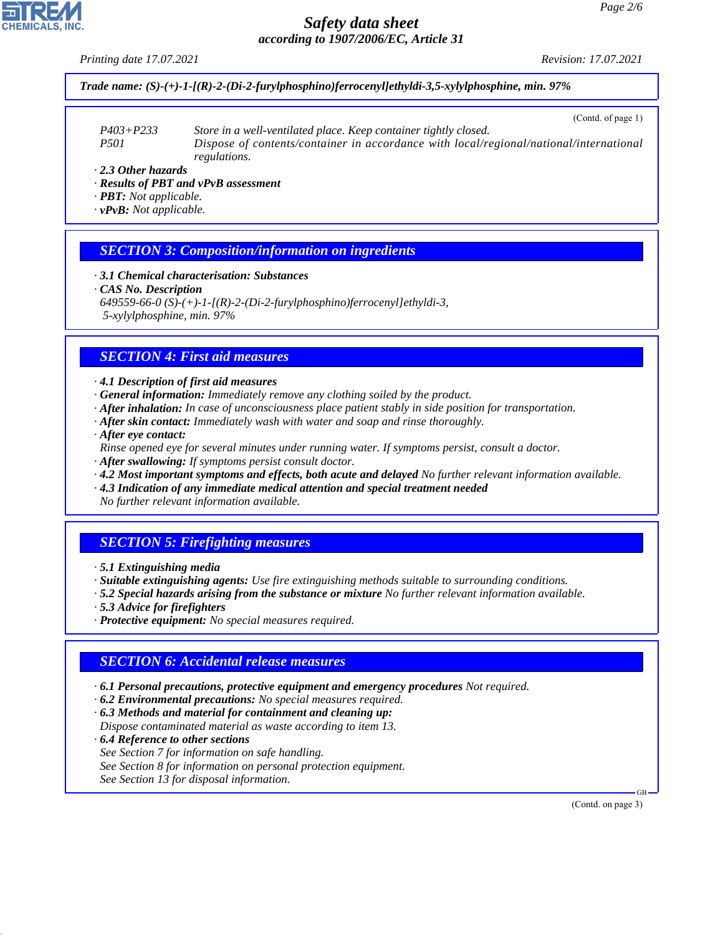*Printing date 17.07.2021 Revision: 17.07.2021*

*Trade name: (S)-(+)-1-[(R)-2-(Di-2-furylphosphino)ferrocenyl]ethyldi-3,5-xylylphosphine, min. 97%*

(Contd. of page 1)

*P403+P233 Store in a well-ventilated place. Keep container tightly closed. P501 Dispose of contents/container in accordance with local/regional/national/international regulations.*

*· 2.3 Other hazards*

- *· Results of PBT and vPvB assessment*
- *· PBT: Not applicable.*
- *· vPvB: Not applicable.*

#### *SECTION 3: Composition/information on ingredients*

*· 3.1 Chemical characterisation: Substances*

```
· CAS No. Description
```
- *649559-66-0 (S)-(+)-1-[(R)-2-(Di-2-furylphosphino)ferrocenyl]ethyldi-3,*
- *5-xylylphosphine, min. 97%*

# *SECTION 4: First aid measures*

*· 4.1 Description of first aid measures*

- *· General information: Immediately remove any clothing soiled by the product.*
- *· After inhalation: In case of unconsciousness place patient stably in side position for transportation.*
- *· After skin contact: Immediately wash with water and soap and rinse thoroughly.*
- *· After eye contact:*
- *Rinse opened eye for several minutes under running water. If symptoms persist, consult a doctor.*
- *· After swallowing: If symptoms persist consult doctor.*
- *· 4.2 Most important symptoms and effects, both acute and delayed No further relevant information available.*
- *· 4.3 Indication of any immediate medical attention and special treatment needed*
- *No further relevant information available.*

# *SECTION 5: Firefighting measures*

- *· 5.1 Extinguishing media*
- *· Suitable extinguishing agents: Use fire extinguishing methods suitable to surrounding conditions.*
- *· 5.2 Special hazards arising from the substance or mixture No further relevant information available.*
- *· 5.3 Advice for firefighters*
- *· Protective equipment: No special measures required.*

#### *SECTION 6: Accidental release measures*

- *· 6.1 Personal precautions, protective equipment and emergency procedures Not required.*
- *· 6.2 Environmental precautions: No special measures required.*
- *· 6.3 Methods and material for containment and cleaning up:*
- *Dispose contaminated material as waste according to item 13.*
- *· 6.4 Reference to other sections See Section 7 for information on safe handling. See Section 8 for information on personal protection equipment.*
- *See Section 13 for disposal information.*

44.1.1

(Contd. on page 3)

GB

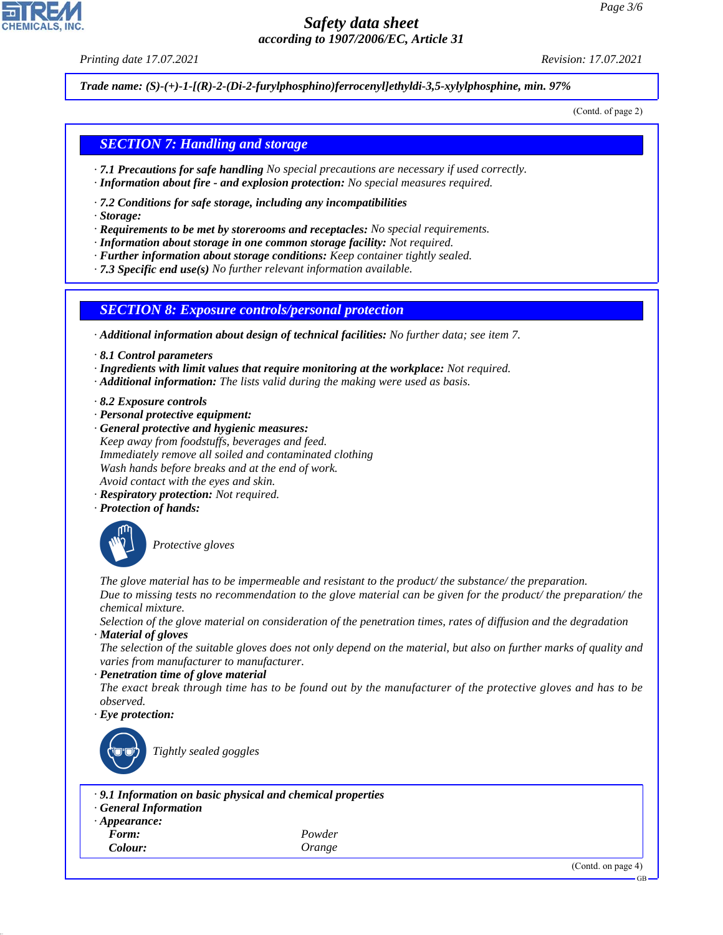*Printing date 17.07.2021 Revision: 17.07.2021*

*Trade name: (S)-(+)-1-[(R)-2-(Di-2-furylphosphino)ferrocenyl]ethyldi-3,5-xylylphosphine, min. 97%*

(Contd. of page 2)

# *SECTION 7: Handling and storage*

- *· 7.1 Precautions for safe handling No special precautions are necessary if used correctly.*
- *· Information about fire and explosion protection: No special measures required.*
- *· 7.2 Conditions for safe storage, including any incompatibilities*
- *· Storage:*
- *· Requirements to be met by storerooms and receptacles: No special requirements.*
- *· Information about storage in one common storage facility: Not required.*
- *· Further information about storage conditions: Keep container tightly sealed.*

*· 7.3 Specific end use(s) No further relevant information available.*

#### *SECTION 8: Exposure controls/personal protection*

*· Additional information about design of technical facilities: No further data; see item 7.*

- *· 8.1 Control parameters*
- *· Ingredients with limit values that require monitoring at the workplace: Not required.*
- *· Additional information: The lists valid during the making were used as basis.*
- *· 8.2 Exposure controls*
- *· Personal protective equipment:*
- *· General protective and hygienic measures: Keep away from foodstuffs, beverages and feed. Immediately remove all soiled and contaminated clothing Wash hands before breaks and at the end of work. Avoid contact with the eyes and skin.*
- *· Respiratory protection: Not required.*
- *· Protection of hands:*



\_S*Protective gloves*

*The glove material has to be impermeable and resistant to the product/ the substance/ the preparation. Due to missing tests no recommendation to the glove material can be given for the product/ the preparation/ the chemical mixture.*

*Selection of the glove material on consideration of the penetration times, rates of diffusion and the degradation · Material of gloves*

*The selection of the suitable gloves does not only depend on the material, but also on further marks of quality and varies from manufacturer to manufacturer.*

#### *· Penetration time of glove material*

*The exact break through time has to be found out by the manufacturer of the protective gloves and has to be observed.*

*· Eye protection:*



\_R*Tightly sealed goggles*

- *· 9.1 Information on basic physical and chemical properties*
- *· General Information*
- *· Appearance:*
- 

44.1.1

*Form: Powder Colour: Orange*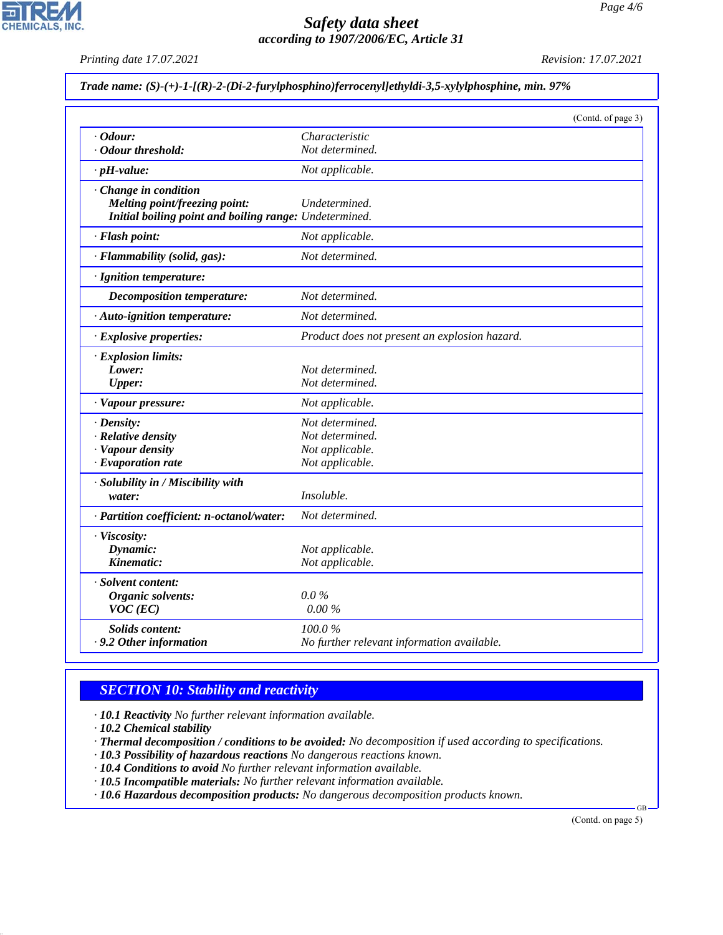*Printing date 17.07.2021 Revision: 17.07.2021*

**CHEMICALS, INC.** 

|  |  |  |  |  | Trade name: (S)-(+)-1-[(R)-2-(Di-2-furylphosphino)ferrocenyl]ethyldi-3,5-xylylphosphine, min. 97% |
|--|--|--|--|--|---------------------------------------------------------------------------------------------------|
|--|--|--|--|--|---------------------------------------------------------------------------------------------------|

|                                                        |                                               | (Contd. of page 3) |
|--------------------------------------------------------|-----------------------------------------------|--------------------|
| $\cdot$ Odour:                                         | Characteristic                                |                    |
| · Odour threshold:                                     | Not determined.                               |                    |
| $\cdot$ pH-value:                                      | Not applicable.                               |                    |
| Change in condition<br>Melting point/freezing point:   | Undetermined.                                 |                    |
| Initial boiling point and boiling range: Undetermined. |                                               |                    |
| · Flash point:                                         | Not applicable.                               |                    |
| · Flammability (solid, gas):                           | Not determined.                               |                    |
| · Ignition temperature:                                |                                               |                    |
| <b>Decomposition temperature:</b>                      | Not determined.                               |                    |
| · Auto-ignition temperature:                           | Not determined.                               |                    |
| · Explosive properties:                                | Product does not present an explosion hazard. |                    |
| · Explosion limits:                                    |                                               |                    |
| Lower:                                                 | Not determined.                               |                    |
| <b>Upper:</b>                                          | Not determined.                               |                    |
| · Vapour pressure:                                     | Not applicable.                               |                    |
| $\cdot$ Density:                                       | Not determined.                               |                    |
| · Relative density                                     | Not determined.                               |                    |
| · Vapour density                                       | Not applicable.                               |                    |
| $\cdot$ Evaporation rate                               | Not applicable.                               |                    |
| · Solubility in / Miscibility with                     |                                               |                    |
| water:                                                 | Insoluble.                                    |                    |
| · Partition coefficient: n-octanol/water:              | Not determined.                               |                    |
| · Viscosity:                                           |                                               |                    |
| Dynamic:                                               | Not applicable.                               |                    |
| Kinematic:                                             | Not applicable.                               |                    |
| · Solvent content:                                     |                                               |                    |
| Organic solvents:                                      | $0.0\%$                                       |                    |
| $VOC$ (EC)                                             | 0.00%                                         |                    |
| <b>Solids content:</b>                                 | 100.0%                                        |                    |
| . 9.2 Other information                                | No further relevant information available.    |                    |

# *SECTION 10: Stability and reactivity*

*· 10.1 Reactivity No further relevant information available.*

*· 10.2 Chemical stability*

44.1.1

*· Thermal decomposition / conditions to be avoided: No decomposition if used according to specifications.*

- *· 10.3 Possibility of hazardous reactions No dangerous reactions known.*
- *· 10.4 Conditions to avoid No further relevant information available.*

*· 10.5 Incompatible materials: No further relevant information available.*

*· 10.6 Hazardous decomposition products: No dangerous decomposition products known.*

(Contd. on page 5)

GB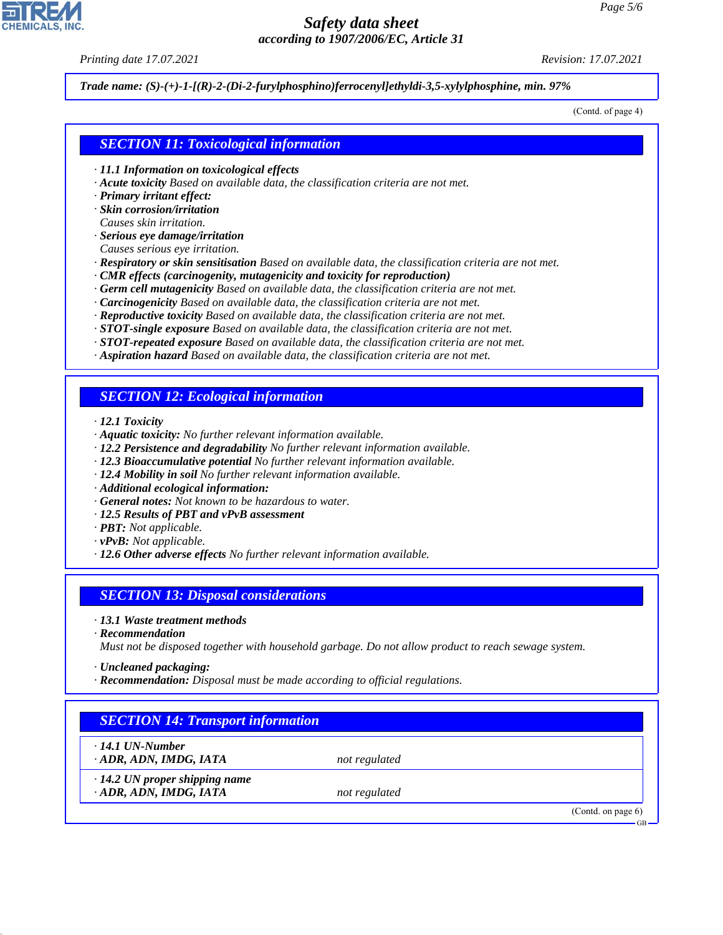*Printing date 17.07.2021 Revision: 17.07.2021*

*Trade name: (S)-(+)-1-[(R)-2-(Di-2-furylphosphino)ferrocenyl]ethyldi-3,5-xylylphosphine, min. 97%*

(Contd. of page 4)

### *SECTION 11: Toxicological information*

- *· 11.1 Information on toxicological effects*
- *· Acute toxicity Based on available data, the classification criteria are not met.*
- *· Primary irritant effect:*
- *· Skin corrosion/irritation*
- *Causes skin irritation.*
- *· Serious eye damage/irritation*
- *Causes serious eye irritation.*
- *· Respiratory or skin sensitisation Based on available data, the classification criteria are not met.*
- *· CMR effects (carcinogenity, mutagenicity and toxicity for reproduction)*
- *· Germ cell mutagenicity Based on available data, the classification criteria are not met.*
- *· Carcinogenicity Based on available data, the classification criteria are not met.*
- *· Reproductive toxicity Based on available data, the classification criteria are not met.*
- *· STOT-single exposure Based on available data, the classification criteria are not met.*
- *· STOT-repeated exposure Based on available data, the classification criteria are not met.*
- *· Aspiration hazard Based on available data, the classification criteria are not met.*

# *SECTION 12: Ecological information*

- *· 12.1 Toxicity*
- *· Aquatic toxicity: No further relevant information available.*
- *· 12.2 Persistence and degradability No further relevant information available.*
- *· 12.3 Bioaccumulative potential No further relevant information available.*
- *· 12.4 Mobility in soil No further relevant information available.*
- *· Additional ecological information:*
- *· General notes: Not known to be hazardous to water.*
- *· 12.5 Results of PBT and vPvB assessment*
- *· PBT: Not applicable.*
- *· vPvB: Not applicable.*
- *· 12.6 Other adverse effects No further relevant information available.*

#### *SECTION 13: Disposal considerations*

- *· 13.1 Waste treatment methods*
- *· Recommendation*

*Must not be disposed together with household garbage. Do not allow product to reach sewage system.*

- *· Uncleaned packaging:*
- *· Recommendation: Disposal must be made according to official regulations.*

# *SECTION 14: Transport information*

*· 14.1 UN-Number*

44.1.1

*· ADR, ADN, IMDG, IATA not regulated*

*· 14.2 UN proper shipping name · ADR, ADN, IMDG, IATA not regulated*

(Contd. on page 6)



GB